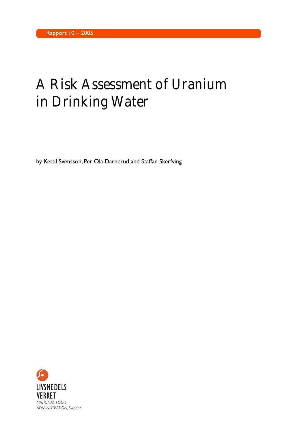# A Risk Assessment of Uranium in Drinking Water

by Kettil Svensson, Per Ola Darnerud and Staffan Skerfving

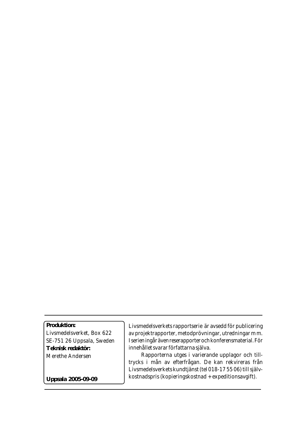### **Produktion:**

Livsmedelsverket, Box 622 SE-751 26 Uppsala, Sweden **Teknisk redaktör:** Merethe Andersen

Livsmedelsverkets rapportserie är avsedd för publicering av projektrapporter, metodprövningar, utredningar m m. I serien ingår även reserapporter och konferensmaterial. För innehållet svarar författarna själva.

 Rapporterna utges i varierande upplagor och tilltrycks i mån av efterfrågan. De kan rekvireras från Livsmedelsverkets kundtjänst (tel 018-17 55 06) till självkostnadspris (kopieringskostnad + expeditionsavgift).

**Uppsala 2005-09-09**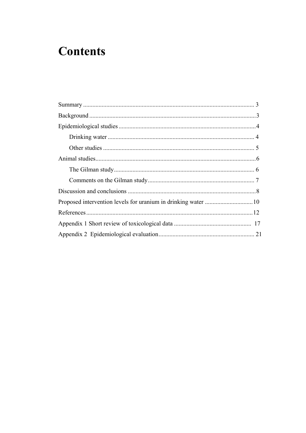## **Contents**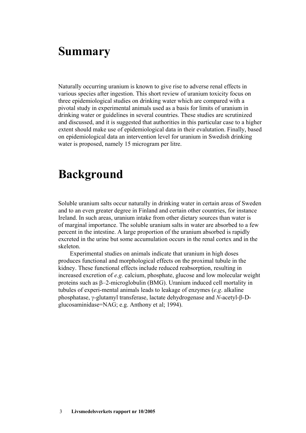## <span id="page-3-0"></span>**Summary**

Naturally occurring uranium is known to give rise to adverse renal effects in various species after ingestion. This short review of uranium toxicity focus on three epidemiological studies on drinking water which are compared with a pivotal study in experimental animals used as a basis for limits of uranium in drinking water or guidelines in several countries. These studies are scrutinized and discussed, and it is suggested that authorities in this particular case to a higher extent should make use of epidemiological data in their evalutation. Finally, based on epidemiological data an intervention level for uranium in Swedish drinking water is proposed, namely 15 microgram per litre.

## **Background**

Soluble uranium salts occur naturally in drinking water in certain areas of Sweden and to an even greater degree in Finland and certain other countries, for instance Ireland. In such areas, uranium intake from other dietary sources than water is of marginal importance. The soluble uranium salts in water are absorbed to a few percent in the intestine. A large proportion of the uranium absorbed is rapidly excreted in the urine but some accumulation occurs in the renal cortex and in the skeleton.

Experimental studies on animals indicate that uranium in high doses produces functional and morphological effects on the proximal tubule in the kidney. These functional effects include reduced reabsorption, resulting in increased excretion of *e.g*. calcium, phosphate, glucose and low molecular weight proteins such as β–2-microglobulin (BMG). Uranium induced cell mortality in tubules of experi-mental animals leads to leakage of enzymes (*e.g*. alkaline phosphatase, γ-glutamyl transferase, lactate dehydrogenase and *N*-acetyl-β-Dglucosaminidase=NAG; e.g. Anthony et al; 1994).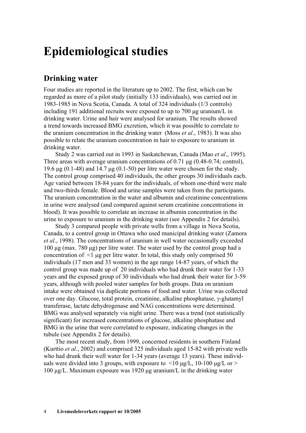## <span id="page-4-0"></span>**Epidemiological studies**

#### **Drinking water**

Four studies are reported in the literature up to 2002. The first, which can be regarded as more of a pilot study (initially 133 individuals), was carried out in 1983-1985 in Nova Scotia, Canada. A total of 324 individuals (1/3 controls) including 191 additional recruits were exposed to up to 700 μg uranium/L in drinking water. Urine and hair were analysed for uranium. The results showed a trend towards increased BMG excretion, which it was possible to correlate to the uranium concentration in the drinking water (Moss *et al*., 1983). It was also possible to relate the uranium concentration in hair to exposure to uranium in drinking water.

Study 2 was carried out in 1993 in Saskatchewan, Canada (Mao *et al*., 1995). Three areas with average uranium concentrations of 0.71 μg (0.48-0.74; control), 19.6 μg (0.1-48) and 14.7 μg (0.1-50) per litre water were chosen for the study. The control group comprised 40 individuals, the other groups 30 individuals each. Age varied between 18-84 years for the individuals, of whom one-third were male and two-thirds female. Blood and urine samples were taken from the participants. The uranium concentration in the water and albumin and creatinine concentrations in urine were analysed (and compared against serum creatinine concentrations in blood). It was possible to correlate an increase in albumin concentration in the urine to exposure to uranium in the drinking water (see Appendix 2 for details).

Study 3 compared people with private wells from a village in Nova Scotia, Canada, to a control group in Ottawa who used municipal drinking water (Zamora *et al*., 1998). The concentrations of uranium in well water occasionally exceeded 100 μg (max. 780 μg) per litre water. The water used by the control group had a concentration of  $\leq 1$  ug per litre water. In total, this study only comprised 50 individuals (17 men and 33 women) in the age range 14-87 years, of which the control group was made up of 20 individuals who had drunk their water for 1-33 years and the exposed group of 30 individuals who had drunk their water for 3-59 years, although with pooled water samples for both groups. Data on uranium intake were obtained via duplicate portions of food and water. Urine was collected over one day. Glucose, total protein, creatinine, alkaline phosphatase, γ-glutamyl transferase, lactate dehydrogenase and NAG concentrations were determined. BMG was analysed separately via night urine. There was a trend (not statistically significant) for increased concentrations of glucose, alkaline phosphatase and BMG in the urine that were correlated to exposure, indicating changes in the tubule (see Appendix 2 for details).

The most recent study, from 1999, concerned residents in southern Finland (Kurttio *et al*., 2002) and comprised 325 individuals aged 15-82 with private wells who had drunk their well water for 1-34 years (average 13 years). These individuals were divided into 3 groups, with exposure to  $\leq 10$  ug/L, 10-100 ug/L or  $\geq$ 100 μg/L. Maximum exposure was 1920 μg uranium/L in the drinking water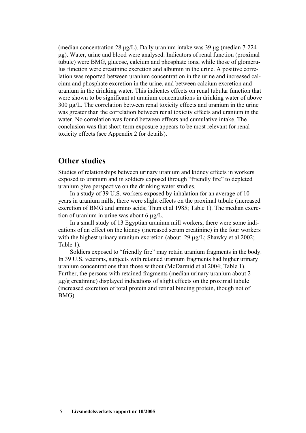<span id="page-5-0"></span>(median concentration 28 μg/L). Daily uranium intake was 39 μg (median 7-224 μg). Water, urine and blood were analysed. Indicators of renal function (proximal tubule) were BMG, glucose, calcium and phosphate ions, while those of glomerulus function were creatinine excretion and albumin in the urine. A positive correlation was reported between uranium concentration in the urine and increased calcium and phosphate excretion in the urine, and between calcium excretion and uranium in the drinking water. This indicates effects on renal tubular function that were shown to be significant at uranium concentrations in drinking water of above 300 μg/L. The correlation between renal toxicity effects and uranium in the urine was greater than the correlation between renal toxicity effects and uranium in the water. No correlation was found between effects and cumulative intake. The conclusion was that short-term exposure appears to be most relevant for renal toxicity effects (see Appendix 2 for details).

#### **Other studies**

Studies of relationships between urinary uranium and kidney effects in workers exposed to uranium and in soldiers exposed through "friendly fire" to depleted uranium give perspective on the drinking water studies.

In a study of 39 U.S. workers exposed by inhalation for an average of 10 years in uranium mills, there were slight effects on the proximal tubule (increased excretion of BMG and amino acids; Thun et al 1985; Table 1). The median excretion of uranium in urine was about 6 μg/L.

In a small study of 13 Egyptian uranium mill workers, there were some indications of an effect on the kidney (increased serum creatinine) in the four workers with the highest urinary uranium excretion (about 29 μg/L; Shawky et al 2002; Table 1).

Soldiers exposed to "friendly fire" may retain uranium fragments in the body. In 39 U.S. veterans, subjects with retained uranium fragments had higher urinary uranium concentrations than those without (McDarmid et al 2004; Table 1). Further, the persons with retained fragments (median urinary uranium about 2 μg/g creatinine) displayed indications of slight effects on the proximal tubule (increased excretion of total protein and retinal binding protein, though not of BMG).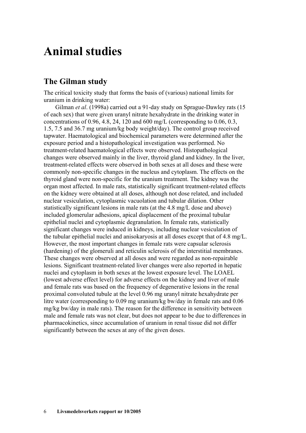## <span id="page-6-0"></span>**Animal studies**

#### **The Gilman study**

The critical toxicity study that forms the basis of (various) national limits for uranium in drinking water:

Gilman *et al*. (1998a) carried out a 91-day study on Sprague-Dawley rats (15 of each sex) that were given uranyl nitrate hexahydrate in the drinking water in concentrations of 0.96, 4.8, 24, 120 and 600 mg/L (corresponding to 0.06, 0.3, 1.5, 7.5 and 36.7 mg uranium/kg body weight/day). The control group received tapwater. Haematological and biochemical parameters were determined after the exposure period and a histopathological investigation was performed. No treatment-related haematological effects were observed. Histopathological changes were observed mainly in the liver, thyroid gland and kidney. In the liver, treatment-related effects were observed in both sexes at all doses and these were commonly non-specific changes in the nucleus and cytoplasm. The effects on the thyroid gland were non-specific for the uranium treatment. The kidney was the organ most affected. In male rats, statistically significant treatment-related effects on the kidney were obtained at all doses, although not dose related, and included nuclear vesiculation, cytoplasmic vacuolation and tubular dilation. Other statistically significant lesions in male rats (at the 4.8 mg/L dose and above) included glomerular adhesions, apical displacement of the proximal tubular epithelial nuclei and cytoplasmic degranulation. In female rats, statistically significant changes were induced in kidneys, including nuclear vesiculation of the tubular epithelial nuclei and anisokaryosis at all doses except that of 4.8 mg/L. However, the most important changes in female rats were capsular sclerosis (hardening) of the glomeruli and reticulin sclerosis of the interstitial membranes. These changes were observed at all doses and were regarded as non-repairable lesions. Significant treatment-related liver changes were also reported in hepatic nuclei and cytoplasm in both sexes at the lowest exposure level. The LOAEL (lowest adverse effect level) for adverse effects on the kidney and liver of male and female rats was based on the frequency of degenerative lesions in the renal proximal convoluted tubule at the level 0.96 mg uranyl nitrate hexahydrate per litre water (corresponding to 0.09 mg uranium/kg bw/day in female rats and 0.06 mg/kg bw/day in male rats). The reason for the difference in sensitivity between male and female rats was not clear, but does not appear to be due to differences in pharmacokinetics, since accumulation of uranium in renal tissue did not differ significantly between the sexes at any of the given doses.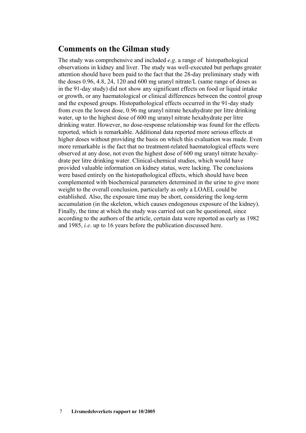### <span id="page-7-0"></span>**Comments on the Gilman study**

The study was comprehensive and included *e.g*. a range of histopathological observations in kidney and liver. The study was well-executed but perhaps greater attention should have been paid to the fact that the 28-day preliminary study with the doses 0.96, 4.8, 24, 120 and 600 mg uranyl nitrate/L (same range of doses as in the 91-day study) did not show any significant effects on food or liquid intake or growth, or any haematological or clinical differences between the control group and the exposed groups. Histopathological effects occurred in the 91-day study from even the lowest dose, 0.96 mg uranyl nitrate hexahydrate per litre drinking water, up to the highest dose of 600 mg uranyl nitrate hexahydrate per litre drinking water. However, no dose-response relationship was found for the effects reported, which is remarkable. Additional data reported more serious effects at higher doses without providing the basis on which this evaluation was made. Even more remarkable is the fact that no treatment-related haematological effects were observed at any dose, not even the highest dose of 600 mg uranyl nitrate hexahydrate per litre drinking water. Clinical-chemical studies, which would have provided valuable information on kidney status, were lacking. The conclusions were based entirely on the histopathological effects, which should have been complemented with biochemical parameters determined in the urine to give more weight to the overall conclusion, particularly as only a LOAEL could be established. Also, the exposure time may be short, considering the long-term accumulation (in the skeleton, which causes endogenous exposure of the kidney). Finally, the time at which the study was carried out can be questioned, since according to the authors of the article, certain data were reported as early as 1982 and 1985, *i.e*. up to 16 years before the publication discussed here.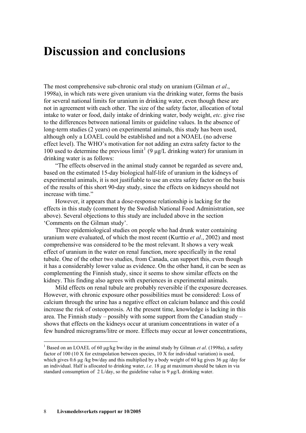## <span id="page-8-0"></span>**Discussion and conclusions**

The most comprehensive sub-chronic oral study on uranium (Gilman *et al*., 1998a), in which rats were given uranium via the drinking water, forms the basis for several national limits for uranium in drinking water, even though these are not in agreement with each other. The size of the safety factor, allocation of total intake to water or food, daily intake of drinking water, body weight, *etc*. give rise to the differences between national limits or guideline values. In the absence of long-term studies (2 years) on experimental animals, this study has been used, although only a LOAEL could be established and not a NOAEL (no adverse effect level). The WHO's motivation for not adding an extra safety factor to the [1](#page-8-1)00 used to determine the previous  $\lim_{t \to 0}$  (9 μg/L drinking water) for uranium in drinking water is as follows:

"The effects observed in the animal study cannot be regarded as severe and, based on the estimated 15-day biological half-life of uranium in the kidneys of experimental animals, it is not justifiable to use an extra safety factor on the basis of the results of this short 90-day study, since the effects on kidneys should not increase with time."

However, it appears that a dose-response relationship is lacking for the effects in this study (comment by the Swedish National Food Administration, see above). Several objections to this study are included above in the section 'Comments on the Gilman study'.

Three epidemiological studies on people who had drunk water containing uranium were evaluated, of which the most recent (Kurttio *et al*., 2002) and most comprehensive was considered to be the most relevant. It shows a very weak effect of uranium in the water on renal function, more specifically in the renal tubule. One of the other two studies, from Canada, can support this, even though it has a considerably lower value as evidence. On the other hand, it can be seen as complementing the Finnish study, since it seems to show similar effects on the kidney. This finding also agrees with experiences in experimental animals.

Mild effects on renal tubule are probably reversible if the exposure decreases. However, with chronic exposure other possibilities must be considered: Loss of calcium through the urine has a negative effect on calcium balance and this could increase the risk of osteoporosis. At the present time, knowledge is lacking in this area. The Finnish study – possibly with some support from the Canadian study – shows that effects on the kidneys occur at uranium concentrations in water of a few hundred micrograms/litre or more. Effects may occur at lower concentrations,

1

<span id="page-8-1"></span><sup>1</sup> Based on an LOAEL of 60 μg/kg bw/day in the animal study by Gilman *et al*. (1998a), a safety factor of 100 (10 X for extrapolation between species,  $10 \text{ X}$  for individual variation) is used. which gives 0.6 μg /kg bw/day and this multiplied by a body weight of 60 kg gives 36 μg /day for an individual. Half is allocated to drinking water, *i.e*. 18 μg at maximum should be taken in via standard consumption of 2 L/day, so the guideline value is 9 μg/L drinking water.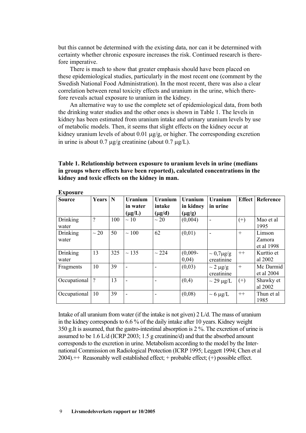but this cannot be determined with the existing data, nor can it be determined with certainty whether chronic exposure increases the risk. Continued research is therefore imperative.

There is much to show that greater emphasis should have been placed on these epidemiological studies, particularly in the most recent one (comment by the Swedish National Food Administration). In the most recent, there was also a clear correlation between renal toxicity effects and uranium in the urine, which therefore reveals actual exposure to uranium in the kidney.

An alternative way to use the complete set of epidemiological data, from both the drinking water studies and the other ones is shown in Table 1. The levels in kidney has been estimated from uranium intake and urinary uranium levels by use of metabolic models. Then, it seems that slight effects on the kidney occur at kidney uranium levels of about 0.01 μg/g, or higher. The corresponding excretion in urine is about 0.7 μg/g creatinine (about 0.7 μg/L).

**Table 1. Relationship between exposure to uranium levels in urine (medians in groups where effects have been reported), calculated concentrations in the kidney and toxic effects on the kidney in man.** 

| едрозит с         |                |     |                                    |                                         |                                     |                                  |               |                                |  |  |
|-------------------|----------------|-----|------------------------------------|-----------------------------------------|-------------------------------------|----------------------------------|---------------|--------------------------------|--|--|
| <b>Source</b>     | <b>Years</b>   | N   | Uranium<br>in water<br>$(\mu g/L)$ | <b>Uranium</b><br>intake<br>$(\mu g/d)$ | Uranium<br>in kidney<br>$(\mu g/g)$ | Uranium<br>in urine              | <b>Effect</b> | Reference                      |  |  |
| Drinking<br>water | $\overline{?}$ | 100 | $\sim$ 10                          | $\sim$ 20                               | (0,004)                             | $\overline{a}$                   | $(+)$         | Mao et al<br>1995              |  |  |
| Drinking<br>water | $\sim 20$      | 50  | $\sim$ 100                         | 62                                      | (0,01)                              |                                  | $+$           | Limson<br>Zamora<br>et al 1998 |  |  |
| Drinking<br>water | 13             | 325 | $\sim$ 135                         | $\sim$ 224                              | $(0,009 -$<br>0,04)                 | $\sim 0.7 \mu g/g$<br>creatinine | $++$          | Kurttio et<br>al 2002          |  |  |
| Fragments         | 10             | 39  |                                    |                                         | (0,03)                              | $\sim$ 2 µg/g<br>creatinine      | $^{+}$        | Mc Darmid<br>et al 2004        |  |  |
| Occupational      | $\gamma$       | 13  |                                    |                                         | (0,4)                               | $\sim$ 29 µg/L                   | $(+)$         | Shawky et<br>al 2002           |  |  |
| Occupational      | 10             | 39  |                                    |                                         | (0,08)                              | $\sim 6 \mu g/L$                 | $++$          | Thun et al<br>1985             |  |  |

**Exposure** 

Intake of all uranium from water (if the intake is not given) 2 L/d. The mass of uranium in the kidney corresponds to 6.6 % of the daily intake after 10 years. Kidney weight 350 g.It is assumed, that the gastro-intestinal absorption is 2 %. The excretion of urine is assumed to be 1.6 L/d (ICRP 2003; 1.5 g creatinine/d) and that the absorbed amount corresponds to the excretion in urine. Metabolism according to the model by the International Commission on Radiological Protection (ICRP 1995; Leggett 1994; Chen et al  $2004$ ).  $\pm\pm$  Reasonably well established effect;  $+$  probable effect;  $(+)$  possible effect.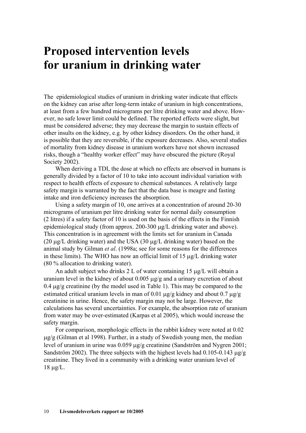## <span id="page-10-0"></span>**Proposed intervention levels for uranium in drinking water**

The epidemiological studies of uranium in drinking water indicate that effects on the kidney can arise after long-term intake of uranium in high concentrations, at least from a few hundred micrograms per litre drinking water and above. However, no safe lower limit could be defined. The reported effects were slight, but must be considered adverse; they may decrease the margin to sustain effects of other insults on the kidney, e.g. by other kidney disorders. On the other hand, it is possible that they are reversible, if the exposure decreases. Also, several studies of mortality from kidney disease in uranium workers have not shown increased risks, though a "healthy worker effect" may have obscured the picture (Royal Society 2002).

When deriving a TDI, the dose at which no effects are observed in humans is generally divided by a factor of 10 to take into account individual variation with respect to health effects of exposure to chemical substances. A relatively large safety margin is warranted by the fact that the data base is meagre and fasting intake and iron deficiency increases the absorption.

Using a safety margin of 10, one arrives at a concentration of around 20-30 micrograms of uranium per litre drinking water for normal daily consumption (2 litres) if a safety factor of 10 is used on the basis of the effects in the Finnish epidemiological study (from approx. 200-300 μg/L drinking water and above). This concentration is in agreement with the limits set for uranium in Canada (20  $\mu$ g/L drinking water) and the USA (30  $\mu$ g/L drinking water) based on the animal study by Gilman *et al*. (1998a; see for some reasons for the differences in these limits). The WHO has now an official limit of 15 μg/L drinking water (80 % allocation to drinking water).

An adult subject who drinks 2 L of water containing 15 μg/L will obtain a uranium level in the kidney of about 0.005 μg/g and a urinary excretion of about 0.4 μg/g creatinine (by the model used in Table 1). This may be compared to the estimated critical uranium levels in man of 0.01  $\mu$ g/g kidney and about 0.7  $\mu$ g/g creatinine in urine. Hence, the safety margin may not be large. However, the calculations has several uncertainties. For example, the absorption rate of uranium from water may be over-estimated (Karpas et al 2005), which would increase the safety margin.

For comparison, morphologic effects in the rabbit kidney were noted at 0.02 μg/g (Gilman et al 1998). Further, in a study of Swedish young men, the median level of uranium in urine was 0.059 μg/g creatinine (Sandström and Nygren 2001; Sandström 2002). The three subjects with the highest levels had 0.105-0.143  $\mu$ g/g creatinine. They lived in a community with a drinking water uranium level of 18 μg/L.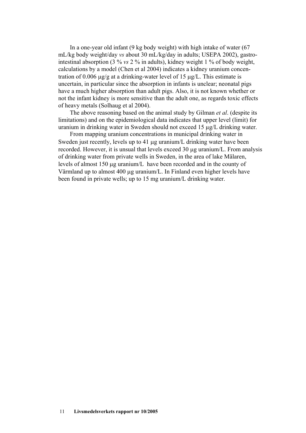In a one-year old infant (9 kg body weight) with high intake of water (67 mL/kg body weight/day *vs* about 30 mL/kg/day in adults; USEPA 2002), gastrointestinal absorption (3 % *vs* 2 % in adults), kidney weight 1 % of body weight, calculations by a model (Chen et al 2004) indicates a kidney uranium concentration of 0.006 μg/g at a drinking-water level of 15 μg/L. This estimate is uncertain, in particular since the absorption in infants is unclear; neonatal pigs have a much higher absorption than adult pigs. Also, it is not known whether or not the infant kidney is more sensitive than the adult one, as regards toxic effects of heavy metals (Solhaug et al 2004).

The above reasoning based on the animal study by Gilman *et al*. (despite its limitations) and on the epidemiological data indicates that upper level (limit) for uranium in drinking water in Sweden should not exceed 15 µg/L drinking water.

From mapping uranium concentrations in municipal drinking water in Sweden just recently, levels up to 41 μg uranium/L drinking water have been recorded. However, it is unsual that levels exceed 30 μg uranium/L. From analysis of drinking water from private wells in Sweden, in the area of lake Mälaren, levels of almost 150 μg uranium/L have been recorded and in the county of Värmland up to almost 400 μg uranium/L. In Finland even higher levels have been found in private wells; up to 15 mg uranium/L drinking water.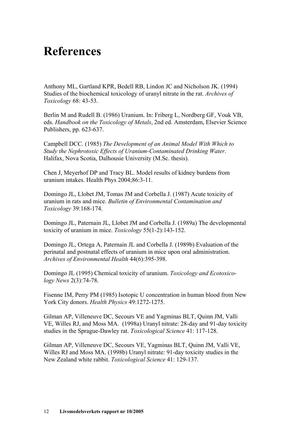## <span id="page-12-0"></span>**References**

Anthony ML, Gartland KPR, Bedell RB, Lindon JC and Nicholson JK. (1994) Studies of the biochemical toxicology of uranyl nitrate in the rat. *Archives of Toxicology* 68: 43-53.

Berlin M and Rudell B. (1986) Uranium. In: Friberg L, Nordberg GF, Vouk VB, eds. *Handbook on the Toxicology of Metals*, 2nd ed. Amsterdam, Elsevier Science Publishers, pp. 623-637.

Campbell DCC. (1985) *The Development of an Animal Model With Which to Study the Nephrotoxic Effects of Uranium-Contaminated Drinking Water*. Halifax, Nova Scotia, Dalhousie University (M.Sc. thesis).

Chen J, Meyerhof DP and Tracy BL. Model results of kidney burdens from uranium intakes. Health Phys 2004;86:3-11.

Domingo JL, Llobet JM, Tomas JM and Corbella J. (1987) Acute toxicity of uranium in rats and mice. *Bulletin of Environmental Contamination and Toxicology* 39:168-174.

Domingo JL, Paternain JL, Llobet JM and Corbella J. (1989a) The developmental toxicity of uranium in mice. *Toxicology* 55(1-2):143-152.

Domingo JL, Ortega A, Paternain JL and Corbella J. (1989b) Evaluation of the perinatal and postnatal effects of uranium in mice upon oral administration. *Archives of Environmental Health* 44(6):395-398.

Domingo JL (1995) Chemical toxicity of uranium. *Toxicology and Ecotoxicology News* 2(3):74-78.

Fisenne IM, Perry PM (1985) Isotopic U concentration in human blood from New York City donors. *Health Physics* 49:1272-1275.

Gilman AP, Villeneuve DC, Secours VE and Yagminas BLT, Quinn JM, Valli VE, Willes RJ, and Moss MA. (1998a) Uranyl nitrate: 28-day and 91-day toxicity studies in the Sprague-Dawley rat. *Toxicological Science* 41: 117-128.

Gilman AP, Villeneuve DC, Secours VE, Yagminas BLT, Quinn JM, Valli VE, Willes RJ and Moss MA. (1998b) Uranyl nitrate: 91-day toxicity studies in the New Zealand white rabbit. *Toxicological Science* 41: 129-137.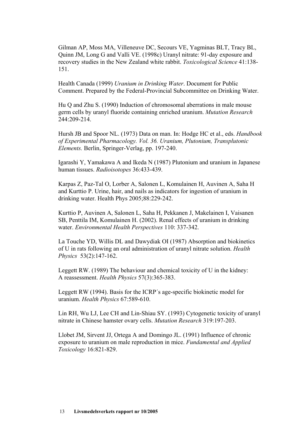Gilman AP, Moss MA, Villeneuve DC, Secours VE, Yagminas BLT, Tracy BL, Quinn JM, Long G and Valli VE. (1998c) Uranyl nitrate: 91-day exposure and recovery studies in the New Zealand white rabbit. *Toxicological Science* 41:138- 151.

Health Canada (1999) *Uranium in Drinking Water*. Document for Public Comment. Prepared by the Federal-Provincial Subcommittee on Drinking Water.

Hu Q and Zhu S. (1990) Induction of chromosomal aberrations in male mouse germ cells by uranyl fluoride containing enriched uranium. *Mutation Research* 244:209-214.

Hursh JB and Spoor NL. (1973) Data on man. In: Hodge HC et al., eds. *Handbook of Experimental Pharmacology. Vol. 36. Uranium, Plutonium, Transplutonic Elements.* Berlin, Springer-Verlag, pp. 197-240.

Igarashi Y, Yamakawa A and Ikeda N (1987) Plutonium and uranium in Japanese human tissues. *Radioisotopes* 36:433-439.

Karpas Z, Paz-Tal O, Lorber A, Salonen L, Komulainen H, Auvinen A, Saha H and Kurttio P. Urine, hair, and nails as indicators for ingestion of uranium in drinking water. Health Phys 2005;88:229-242.

Kurttio P, Auvinen A, Salonen L, Saha H, Pekkanen J, Makelainen I, Vaisanen SB, Penttila IM, Komulainen H. (2002). Renal effects of uranium in drinking water. *Environmental Health Perspectives* 110: 337-342.

La Touche YD, Willis DL and Dawydiak OI (1987) Absorption and biokinetics of U in rats following an oral administration of uranyl nitrate solution. *Health Physics* 53(2):147-162.

Leggett RW. (1989) The behaviour and chemical toxicity of U in the kidney: A reassessment. *Health Physics* 57(3):365-383.

Leggett RW (1994). Basis for the ICRP´s age-specific biokinetic model for uranium. *Health Physics* 67:589-610.

Lin RH, Wu LJ, Lee CH and Lin-Shiau SY. (1993) Cytogenetic toxicity of uranyl nitrate in Chinese hamster ovary cells. *Mutation Research* 319:197-203.

Llobet JM, Sirvent JJ, Ortega A and Domingo JL. (1991) Influence of chronic exposure to uranium on male reproduction in mice. *Fundamental and Applied Toxicology* 16:821-829.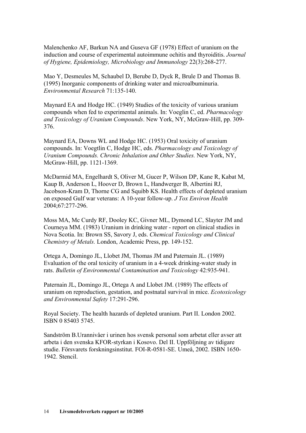Malenchenko AF, Barkun NA and Guseva GF (1978) Effect of uranium on the induction and course of experimental autoimmune ochitis and thyroiditis. *Journal of Hygiene, Epidemiology, Microbiology and Immunology* 22(3):268-277.

Mao Y, Desmeules M, Schaubel D, Berube D, Dyck R, Brule D and Thomas B. (1995) Inorganic components of drinking water and microalbuminuria. *Environmental Research* 71:135-140.

Maynard EA and Hodge HC. (1949) Studies of the toxicity of various uranium compounds when fed to experimental animals. In: Voeglin C, ed. *Pharmacology and Toxicology of Uranium Compounds*. New York, NY, McGraw-Hill, pp. 309- 376.

Maynard EA, Downs WL and Hodge HC. (1953) Oral toxicity of uranium compounds. In: Voegtlin C, Hodge HC, eds. *Pharmacology and Toxicology of Uranium Compounds. Chronic Inhalation and Other Studies.* New York, NY, McGraw-Hill, pp. 1121-1369.

McDarmid MA, Engelhardt S, Oliver M, Gucer P, Wilson DP, Kane R, Kabat M, Kaup B, Anderson L, Hoover D, Brown L, Handwerger B, Albertini RJ, Jacobson-Kram D, Thorne CG and Squibb KS. Health effects of depleted uranium on exposed Gulf war veterans: A 10-year follow-up. *J Tox Environ Health*  2004;67:277-296.

Moss MA, Mc Curdy RF, Dooley KC, Givner ML, Dymond LC, Slayter JM and Courneya MM. (1983) Uranium in drinking water - report on clinical studies in Nova Scotia. In: Brown SS, Savory J, eds. *Chemical Toxicology and Clinical Chemistry of Metals.* London, Academic Press, pp. 149-152.

Ortega A, Domingo JL, Llobet JM, Thomas JM and Paternain JL. (1989) Evaluation of the oral toxicity of uranium in a 4-week drinking-water study in rats. *Bulletin of Environmental Contamination and Toxicology* 42:935-941.

Paternain JL, Domingo JL, Ortega A and Llobet JM. (1989) The effects of uranium on reproduction, gestation, and postnatal survival in mice. *Ecotoxicology and Environmental Safety* 17:291-296.

Royal Society. The health hazards of depleted uranium. Part II. London 2002. ISBN 0 85403 5745.

Sandström B.Urannivåer i urinen hos svensk personal som arbetat eller avser att arbeta i den svenska KFOR-styrkan i Kosovo. Del II. Uppföljning av tidigare studie. Försvarets forskningsinstitut. FOI-R-0581-SE. Umeå, 2002. ISBN 1650- 1942. Stencil.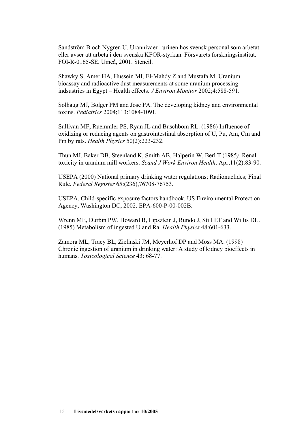Sandström B och Nygren U. Urannivåer i urinen hos svensk personal som arbetat eller avser att arbeta i den svenska KFOR-styrkan. Försvarets forskningsinstitut. FOI-R-0165-SE. Umeå, 2001. Stencil.

Shawky S, Amer HA, Hussein MI, El-Mahdy Z and Mustafa M. Uranium bioassay and radioactive dust measurements at some uranium processing indsustries in Egypt – Health effects. *J Environ Monitor* 2002;4:588-591.

Solhaug MJ, Bolger PM and Jose PA. The developing kidney and environmental toxins. *Pediatrics* 2004;113:1084-1091.

Sullivan MF, Ruemmler PS, Ryan JL and Buschbom RL. (1986) Influence of oxidizing or reducing agents on gastrointestinal absorption of U, Pu, Am, Cm and Pm by rats. *Health Physics* 50(2):223-232.

Thun MJ, Baker DB, Steenland K, Smith AB, Halperin W, Berl T (1985*).* Renal toxicity in uranium mill workers. *Scand J Work Environ Health*. Apr;11(2):83-90.

USEPA (2000) National primary drinking water regulations; Radionuclides; Final Rule. *Federal Register* 65:(236),76708-76753.

USEPA. Child-specific exposure factors handbook. US Environmental Protection Agency, Washington DC, 2002. EPA-600-P-00-002B.

Wrenn ME, Durbin PW, Howard B, Lipsztein J, Rundo J, Still ET and Willis DL. (1985) Metabolism of ingested U and Ra. *Health Physics* 48:601-633.

Zamora ML, Tracy BL, Zielinski JM, Meyerhof DP and Moss MA. (1998) Chronic ingestion of uranium in drinking water: A study of kidney bioeffects in humans. *Toxicological Science* 43: 68-77.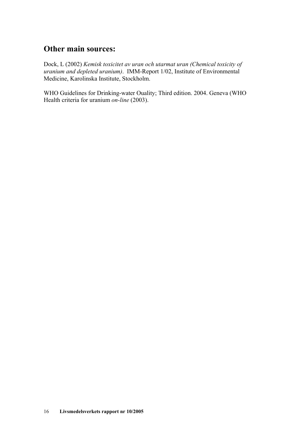### **Other main sources:**

Dock, L (2002) *Kemisk toxicitet av uran och utarmat uran (Chemical toxicity of uranium and depleted uranium)*. IMM-Report 1/02, Institute of Environmental Medicine, Karolinska Institute, Stockholm.

WHO Guidelines for Drinking-water Ouality; Third edition. 2004. Geneva (WHO Health criteria for uranium *on-line* (2003).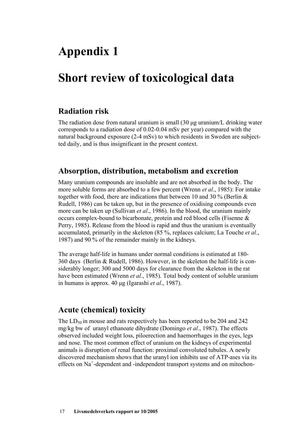## **Appendix 1**

## **Short review of toxicological data**

## **Radiation risk**

The radiation dose from natural uranium is small (30 μg uranium/L drinking water corresponds to a radiation dose of 0.02-0.04 mSv per year) compared with the natural background exposure (2-4 mSv) to which residents in Sweden are subjectted daily, and is thus insignificant in the present context.

### **Absorption, distribution, metabolism and excretion**

Many uranium compounds are insoluble and are not absorbed in the body. The more soluble forms are absorbed to a few percent (Wrenn *et al*., 1985): For intake together with food, there are indications that between 10 and 30 % (Berlin & Rudell, 1986) can be taken up, but in the presence of oxidising compounds even more can be taken up (Sullivan *et al*., 1986). In the blood, the uranium mainly occurs complex-bound to bicarbonate, protein and red blood cells (Fisenne & Perry, 1985). Release from the blood is rapid and thus the uranium is eventually accumulated, primarily in the skeleton (85 %, replaces calcium; La Touche *et al*., 1987) and 90 % of the remainder mainly in the kidneys.

The average half-life in humans under normal conditions is estimated at 180- 360 days (Berlin & Rudell, 1986). However, in the skeleton the half-life is considerably longer; 300 and 5000 days for clearance from the skeleton in the rat have been estimated (Wrenn *et al*., 1985). Total body content of soluble uranium in humans is approx. 40 μg (Igarashi *et al*., 1987).

### **Acute (chemical) toxicity**

The  $LD_{50}$  in mouse and rats respectively has been reported to be 204 and 242 mg/kg bw of uranyl ethanoate dihydrate (Domingo *et al*., 1987). The effects observed included weight loss, piloerection and haemorrhages in the eyes, legs and nose. The most common effect of uranium on the kidneys of experimental animals is disruption of renal function: proximal convoluted tubules. A newly discovered mechanism shows that the uranyl ion inhibits use of ATP-ases via its effects on Na<sup>+</sup>-dependent and -independent transport systems and on mitochon-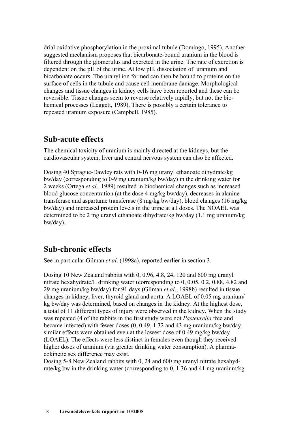drial oxidative phosphorylation in the proximal tubule (Domingo, 1995). Another suggested mechanism proposes that bicarbonate-bound uranium in the blood is filtered through the glomerulus and excreted in the urine. The rate of excretion is dependent on the pH of the urine. At low pH, dissociation of uranium and bicarbonate occurs. The uranyl ion formed can then be bound to proteins on the surface of cells in the tubule and cause cell membrane damage. Morphological changes and tissue changes in kidney cells have been reported and these can be reversible. Tissue changes seem to reverse relatively rapidly, but not the biohemical processes (Leggett, 1989). There is possibly a certain tolerance to repeated uranium exposure (Campbell, 1985).

#### **Sub-acute effects**

The chemical toxicity of uranium is mainly directed at the kidneys, but the cardiovascular system, liver and central nervous system can also be affected.

Dosing 40 Sprague-Dawley rats with 0-16 mg uranyl ethanoate dihydrate/kg bw/day (corresponding to 0-9 mg uranium/kg bw/day) in the drinking water for 2 weeks (Ortega *et al*., 1989) resulted in biochemical changes such as increased blood glucose concentration (at the dose 4 mg/kg bw/day), decreases in alanine transferase and aspartame transferase (8 mg/kg bw/day), blood changes (16 mg/kg bw/day) and increased protein levels in the urine at all doses. The NOAEL was determined to be 2 mg uranyl ethanoate dihydrate/kg bw/day (1.1 mg uranium/kg bw/day).

### **Sub-chronic effects**

See in particular Gilman *et al*. (1998a), reported earlier in section 3.

Dosing 10 New Zealand rabbits with 0, 0.96, 4.8, 24, 120 and 600 mg uranyl nitrate hexahydrate/L drinking water (corresponding to 0, 0.05, 0.2, 0.88, 4.82 and 29 mg uranium/kg bw/day) for 91 days (Gilman *et al*., 1998b) resulted in tissue changes in kidney, liver, thyroid gland and aorta. A LOAEL of 0.05 mg uranium/ kg bw/day was determined, based on changes in the kidney. At the highest dose, a total of 11 different types of injury were observed in the kidney. When the study was repeated (4 of the rabbits in the first study were not *Pasteurella* free and became infected) with fewer doses (0, 0.49, 1.32 and 43 mg uranium/kg bw/day, similar effects were obtained even at the lowest dose of 0.49 mg/kg bw/day (LOAEL). The effects were less distinct in females even though they received higher doses of uranium (via greater drinking water consumption). A pharmacokinetic sex difference may exist.

Dosing 5-8 New Zealand rabbits with 0, 24 and 600 mg uranyl nitrate hexahydrate/kg bw in the drinking water (corresponding to 0, 1.36 and 41 mg uranium/kg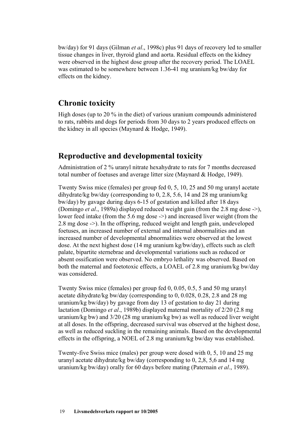bw/day) for 91 days (Gilman *et al*., 1998c) plus 91 days of recovery led to smaller tissue changes in liver, thyroid gland and aorta. Residual effects on the kidney were observed in the highest dose group after the recovery period. The LOAEL was estimated to be somewhere between 1.36-41 mg uranium/kg bw/day for effects on the kidney.

### **Chronic toxicity**

High doses (up to 20 % in the diet) of various uranium compounds administered to rats, rabbits and dogs for periods from 30 days to 2 years produced effects on the kidney in all species (Maynard & Hodge, 1949).

### **Reproductive and developmental toxicity**

Administration of 2 % uranyl nitrate hexahydrate to rats for 7 months decreased total number of foetuses and average litter size (Maynard & Hodge, 1949).

Twenty Swiss mice (females) per group fed 0, 5, 10, 25 and 50 mg uranyl acetate dihydrate/kg bw/day (corresponding to 0, 2.8, 5.6, 14 and 28 mg uranium/kg bw/day) by gavage during days 6-15 of gestation and killed after 18 days (Domingo *et al*., 1989a) displayed reduced weight gain (from the 2.8 mg dose ->), lower feed intake (from the 5.6 mg dose ->) and increased liver weight (from the 2.8 mg dose ->). In the offspring, reduced weight and length gain, undeveloped foetuses, an increased number of external and internal abnormalities and an increased number of developmental abnormalities were observed at the lowest dose. At the next highest dose (14 mg uranium kg/bw/day), effects such as cleft palate, bipartite sternebrae and developmental variations such as reduced or absent ossification were observed. No embryo lethality was observed. Based on both the maternal and foetotoxic effects, a LOAEL of 2.8 mg uranium/kg bw/day was considered.

Twenty Swiss mice (females) per group fed 0, 0.05, 0.5, 5 and 50 mg uranyl acetate dihydrate/kg bw/day (corresponding to 0, 0.028, 0.28, 2.8 and 28 mg uranium/kg bw/day) by gavage from day 13 of gestation to day 21 during lactation (Domingo *et al*., 1989b) displayed maternal mortality of 2/20 (2.8 mg uranium/kg bw) and 3/20 (28 mg uranium/kg bw) as well as reduced liver weight at all doses. In the offspring, decreased survival was observed at the highest dose, as well as reduced suckling in the remaining animals. Based on the developmental effects in the offspring, a NOEL of 2.8 mg uranium/kg bw/day was established.

Twenty-five Swiss mice (males) per group were dosed with 0, 5, 10 and 25 mg uranyl acetate dihydrate/kg bw/day (corresponding to 0, 2,8, 5,6 and 14 mg uranium/kg bw/day) orally for 60 days before mating (Paternain *et al*., 1989).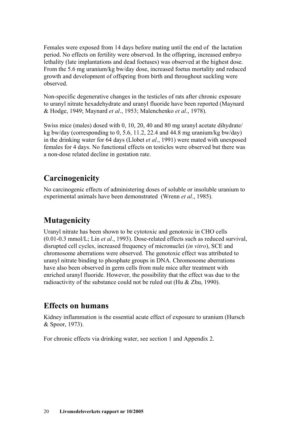Females were exposed from 14 days before mating until the end of the lactation period. No effects on fertility were observed. In the offspring, increased embryo lethality (late implantations and dead foetuses) was observed at the highest dose. From the 5.6 mg uranium/kg bw/day dose, increased foetus mortality and reduced growth and development of offspring from birth and throughout suckling were observed.

Non-specific degenerative changes in the testicles of rats after chronic exposure to uranyl nitrate hexadehydrate and uranyl fluoride have been reported (Maynard & Hodge, 1949; Maynard *et al*., 1953; Malenchenko *et al*., 1978).

Swiss mice (males) dosed with 0, 10, 20, 40 and 80 mg uranyl acetate dihydrate/ kg bw/day (corresponding to 0, 5.6, 11.2, 22.4 and 44.8 mg uranium/kg bw/day) in the drinking water for 64 days (Llobet *et al*., 1991) were mated with unexposed females for 4 days. No functional effects on testicles were observed but there was a non-dose related decline in gestation rate.

## **Carcinogenicity**

No carcinogenic effects of administering doses of soluble or insoluble uranium to experimental animals have been demonstrated (Wrenn *et al*., 1985).

### **Mutagenicity**

Uranyl nitrate has been shown to be cytotoxic and genotoxic in CHO cells (0.01-0.3 mmol/L; Lin *et al*., 1993). Dose-related effects such as reduced survival, disrupted cell cycles, increased frequency of micronuclei (*in vitro*), SCE and chromosome aberrations were observed. The genotoxic effect was attributed to uranyl nitrate binding to phosphate groups in DNA. Chromosome aberrations have also been observed in germ cells from male mice after treatment with enriched uranyl fluoride. However, the possibility that the effect was due to the radioactivity of the substance could not be ruled out (Hu & Zhu, 1990).

### **Effects on humans**

Kidney inflammation is the essential acute effect of exposure to uranium (Hursch & Spoor, 1973).

For chronic effects via drinking water, see section 1 and Appendix 2.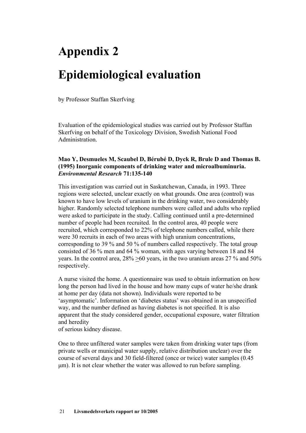# <span id="page-21-0"></span>**Appendix 2 Epidemiological evaluation**

by Professor Staffan Skerfving

Evaluation of the epidemiological studies was carried out by Professor Staffan Skerfving on behalf of the Toxicology Division, Swedish National Food **Administration** 

#### **Mao Y, Desmueles M, Scaubel D, Bérubé D, Dyck R, Brule D and Thomas B. (1995) Inorganic components of drinking water and microalbuminuria.**  *Environmental Research* **71:135-140**

This investigation was carried out in Saskatchewan, Canada, in 1993. Three regions were selected, unclear exactly on what grounds. One area (control) was known to have low levels of uranium in the drinking water, two considerably higher. Randomly selected telephone numbers were called and adults who replied were asked to participate in the study. Calling continued until a pre-determined number of people had been recruited. In the control area, 40 people were recruited, which corresponded to 22% of telephone numbers called, while there were 30 recruits in each of two areas with high uranium concentrations, corresponding to 39 % and 50 % of numbers called respectively. The total group consisted of 36 % men and 64 % woman, with ages varying between 18 and 84 years. In the control area,  $28\% > 60$  years, in the two uranium areas 27 % and 50% respectively.

A nurse visited the home. A questionnaire was used to obtain information on how long the person had lived in the house and how many cups of water he/she drank at home per day (data not shown). Individuals were reported to be 'asymptomatic'. Information on 'diabetes status' was obtained in an unspecified way, and the number defined as having diabetes is not specified. It is also apparent that the study considered gender, occupational exposure, water filtration and heredity

of serious kidney disease.

One to three unfiltered water samples were taken from drinking water taps (from private wells or municipal water supply, relative distribution unclear) over the course of several days and 30 field-filtered (once or twice) water samples (0.45 μm). It is not clear whether the water was allowed to run before sampling.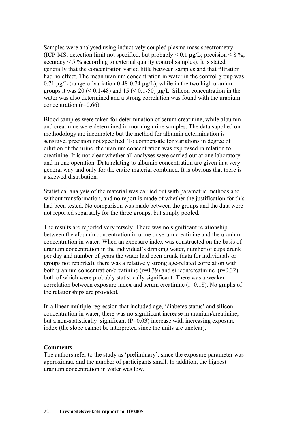Samples were analysed using inductively coupled plasma mass spectrometry (ICP-MS; detection limit not specified, but probably  $\leq 0.1$  µg/L; precision  $\leq 8\%$ ; accuracy  $\leq$  5 % according to external quality control samples). It is stated generally that the concentration varied little between samples and that filtration had no effect. The mean uranium concentration in water in the control group was  $0.71 \mu$ g/L (range of variation 0.48-0.74 μg/L), while in the two high uranium groups it was  $20 \leq 0.1-48$ ) and  $15 \leq 0.1-50$ )  $\mu$ g/L. Silicon concentration in the water was also determined and a strong correlation was found with the uranium concentration (r=0.66).

Blood samples were taken for determination of serum creatinine, while albumin and creatinine were determined in morning urine samples. The data supplied on methodology are incomplete but the method for albumin determination is sensitive, precision not specified. To compensate for variations in degree of dilution of the urine, the uranium concentration was expressed in relation to creatinine. It is not clear whether all analyses were carried out at one laboratory and in one operation. Data relating to albumin concentration are given in a very general way and only for the entire material combined. It is obvious that there is a skewed distribution.

Statistical analysis of the material was carried out with parametric methods and without transformation, and no report is made of whether the justification for this had been tested. No comparison was made between the groups and the data were not reported separately for the three groups, but simply pooled.

The results are reported very tersely. There was no significant relationship between the albumin concentration in urine or serum creatinine and the uranium concentration in water. When an exposure index was constructed on the basis of uranium concentration in the individual's drinking water, number of cups drunk per day and number of years the water had been drunk (data for individuals or groups not reported), there was a relatively strong age-related correlation with both uranium concentration/creatinine  $(r=0.39)$  and silicon/creatinine  $(r=0.32)$ , both of which were probably statistically significant. There was a weaker correlation between exposure index and serum creatinine (r=0.18). No graphs of the relationships are provided.

In a linear multiple regression that included age, 'diabetes status' and silicon concentration in water, there was no significant increase in uranium/creatinine, but a non-statistically significant  $(P=0.03)$  increase with increasing exposure index (the slope cannot be interpreted since the units are unclear).

#### **Comments**

The authors refer to the study as 'preliminary', since the exposure parameter was approximate and the number of participants small. In addition, the highest uranium concentration in water was low.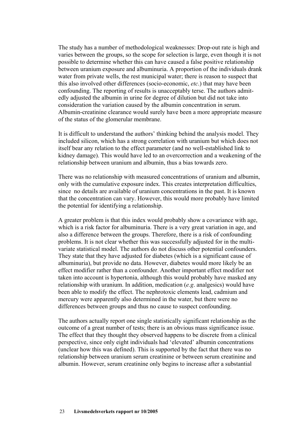The study has a number of methodological weaknesses: Drop-out rate is high and varies between the groups, so the scope for selection is large, even though it is not possible to determine whether this can have caused a false positive relationship between uranium exposure and albuminuria. A proportion of the individuals drank water from private wells, the rest municipal water; there is reason to suspect that this also involved other differences (socio-economic, *etc*.) that may have been confounding. The reporting of results is unacceptably terse. The authors admitedly adjusted the albumin in urine for degree of dilution but did not take into consideration the variation caused by the albumin concentration in serum. Albumin-creatinine clearance would surely have been a more appropriate measure of the status of the glomerular membrane.

It is difficult to understand the authors' thinking behind the analysis model. They included silicon, which has a strong correlation with uranium but which does not itself bear any relation to the effect parameter (and no well-established link to kidney damage). This would have led to an overcorrection and a weakening of the relationship between uranium and albumin, thus a bias towards zero.

There was no relationship with measured concentrations of uranium and albumin, only with the cumulative exposure index. This creates interpretation difficulties, since no details are available of uranium concentrations in the past. It is known that the concentration can vary. However, this would more probably have limited the potential for identifying a relationship.

A greater problem is that this index would probably show a covariance with age, which is a risk factor for albuminuria. There is a very great variation in age, and also a difference between the groups. Therefore, there is a risk of confounding problems. It is not clear whether this was successfully adjusted for in the multivariate statistical model. The authors do not discuss other potential confounders. They state that they have adjusted for diabetes (which is a significant cause of albuminuria), but provide no data. However, diabetes would more likely be an effect modifier rather than a confounder. Another important effect modifier not taken into account is hypertonia, although this would probably have masked any relationship with uranium. In addition, medication (*e.g*. analgesics) would have been able to modify the effect. The nephrotoxic elements lead, cadmium and mercury were apparently also determined in the water, but there were no differences between groups and thus no cause to suspect confounding.

The authors actually report one single statistically significant relationship as the outcome of a great number of tests; there is an obvious mass significance issue. The effect that they thought they observed happens to be discrete from a clinical perspective, since only eight individuals had 'elevated' albumin concentrations (unclear how this was defined). This is supported by the fact that there was no relationship between uranium serum creatinine or between serum creatinine and albumin. However, serum creatinine only begins to increase after a substantial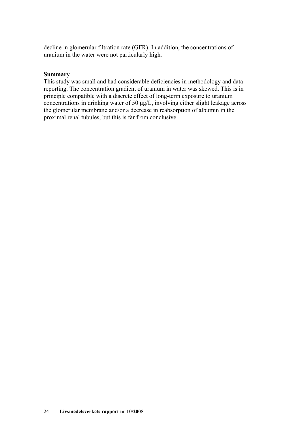decline in glomerular filtration rate (GFR). In addition, the concentrations of uranium in the water were not particularly high.

#### **Summary**

This study was small and had considerable deficiencies in methodology and data reporting. The concentration gradient of uranium in water was skewed. This is in principle compatible with a discrete effect of long-term exposure to uranium concentrations in drinking water of 50 μg/L, involving either slight leakage across the glomerular membrane and/or a decrease in reabsorption of albumin in the proximal renal tubules, but this is far from conclusive.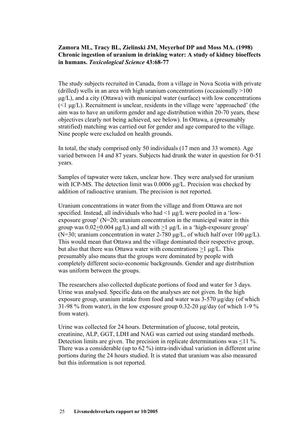#### **Zamora ML, Tracy BL, Zielinski JM, Meyerhof DP and Moss MA. (1998) Chronic ingestion of uranium in drinking water: A study of kidney bioeffects in humans.** *Toxicological Science* **43:68-77**

The study subjects recruited in Canada, from a village in Nova Scotia with private (drilled) wells in an area with high uranium concentrations (occasionally >100  $\mu$ g/L), and a city (Ottawa) with municipal water (surface) with low concentrations  $(\leq 1 \mu g/L)$ . Recruitment is unclear, residents in the village were 'approached' (the aim was to have an uniform gender and age distribution within 20-70 years, these objectives clearly not being achieved, see below). In Ottawa, a (presumably stratified) matching was carried out for gender and age compared to the village. Nine people were excluded on health grounds.

In total, the study comprised only 50 individuals (17 men and 33 women). Age varied between 14 and 87 years. Subjects had drunk the water in question for 0-51 years.

Samples of tapwater were taken, unclear how. They were analysed for uranium with ICP-MS. The detection limit was 0.0006 μg/L. Precision was checked by addition of radioactive uranium. The precision is not reported.

Uranium concentrations in water from the village and from Ottawa are not specified. Instead, all individuals who had  $\leq 1$   $\mu$ g/L were pooled in a 'lowexposure group' (N=20; uranium concentration in the municipal water in this group was  $0.02 \pm 0.004 \text{ µg/L}$  and all with  $\geq 1 \text{ µg/L}$  in a 'high-exposure group' (N=30; uranium concentration in water 2-780 μg/L, of which half over 100 μg/L). This would mean that Ottawa and the village dominated their respective group, but also that there was Ottawa water with concentrations >1 μg/L. This presumably also means that the groups were dominated by people with completely different socio-economic backgrounds. Gender and age distribution was uniform between the groups.

The researchers also collected duplicate portions of food and water for 3 days. Urine was analysed. Specific data on the analyses are not given. In the high exposure group, uranium intake from food and water was 3-570 μg/day (of which 31-98 % from water), in the low exposure group 0.32-20  $\mu$ g/day (of which 1-9 % from water).

Urine was collected for 24 hours. Determination of glucose, total protein, creatinine, ALP, GGT, LDH and NAG was carried out using standard methods. Detection limits are given. The precision in replicate determinations was <11 %. There was a considerable (up to 62 %) intra-individual variation in different urine portions during the 24 hours studied. It is stated that uranium was also measured but this information is not reported.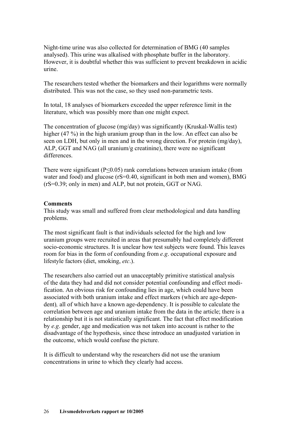Night-time urine was also collected for determination of BMG (40 samples analysed). This urine was alkalised with phosphate buffer in the laboratory. However, it is doubtful whether this was sufficient to prevent breakdown in acidic urine.

The researchers tested whether the biomarkers and their logarithms were normally distributed. This was not the case, so they used non-parametric tests.

In total, 18 analyses of biomarkers exceeded the upper reference limit in the literature, which was possibly more than one might expect.

The concentration of glucose (mg/day) was significantly (Kruskal-Wallis test) higher (47 %) in the high uranium group than in the low. An effect can also be seen on LDH, but only in men and in the wrong direction. For protein (mg/day), ALP, GGT and NAG (all uranium/g creatinine), there were no significant differences.

There were significant (P<0.05) rank correlations between uranium intake (from water and food) and glucose (rS=0.40, significant in both men and women), BMG (rS=0.39; only in men) and ALP, but not protein, GGT or NAG.

#### **Comments**

This study was small and suffered from clear methodological and data handling problems.

The most significant fault is that individuals selected for the high and low uranium groups were recruited in areas that presumably had completely different socio-economic structures. It is unclear how test subjects were found. This leaves room for bias in the form of confounding from *e.g*. occupational exposure and lifestyle factors (diet, smoking, *etc*.).

The researchers also carried out an unacceptably primitive statistical analysis of the data they had and did not consider potential confounding and effect modification. An obvious risk for confounding lies in age, which could have been associated with both uranium intake and effect markers (which are age-dependent)*,* all of which have a known age-dependency. It is possible to calculate the correlation between age and uranium intake from the data in the article; there is a relationship but it is not statistically significant. The fact that effect modification by *e.g*. gender, age and medication was not taken into account is rather to the disadvantage of the hypothesis, since these introduce an unadjusted variation in the outcome, which would confuse the picture.

It is difficult to understand why the researchers did not use the uranium concentrations in urine to which they clearly had access.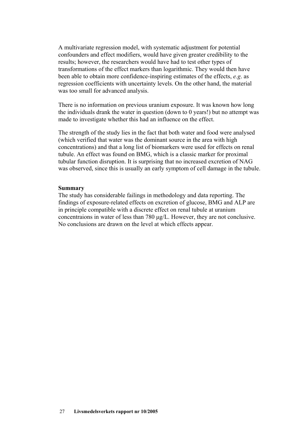A multivariate regression model, with systematic adjustment for potential confounders and effect modifiers, would have given greater credibility to the results; however, the researchers would have had to test other types of transformations of the effect markers than logarithmic. They would then have been able to obtain more confidence-inspiring estimates of the effects, *e.g*. as regression coefficients with uncertainty levels. On the other hand, the material was too small for advanced analysis.

There is no information on previous uranium exposure. It was known how long the individuals drank the water in question (down to 0 years!) but no attempt was made to investigate whether this had an influence on the effect.

The strength of the study lies in the fact that both water and food were analysed (which verified that water was the dominant source in the area with high concentrations) and that a long list of biomarkers were used for effects on renal tubule. An effect was found on BMG, which is a classic marker for proximal tubular function disruption. It is surprising that no increased excretion of NAG was observed, since this is usually an early symptom of cell damage in the tubule.

#### **Summary**

The study has considerable failings in methodology and data reporting. The findings of exposure-related effects on excretion of glucose, BMG and ALP are in principle compatible with a discrete effect on renal tubule at uranium concentraions in water of less than 780 μg/L. However, they are not conclusive. No conclusions are drawn on the level at which effects appear.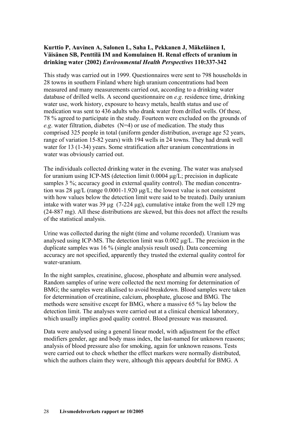#### **Kurttio P, Auvinen A, Salonen L, Saha L, Pekkanen J, Mäkeläinen I, Väisänen SB, Penttilä IM and Komulainen H. Renal effects of uranium in drinking water (2002)** *Environmental Health Perspectives* **110:337-342**

This study was carried out in 1999. Questionnaires were sent to 798 households in 28 towns in southern Finland where high uranium concentrations had been measured and many measurements carried out, according to a drinking water database of drilled wells. A second questionnaire on *e.g*. residence time, drinking water use, work history, exposure to heavy metals, health status and use of medication was sent to 436 adults who drank water from drilled wells. Of these, 78 % agreed to participate in the study. Fourteen were excluded on the grounds of *e.g*. water filtration, diabetes (N=4) or use of medication. The study thus comprised 325 people in total (uniform gender distribution, average age 52 years, range of variation 15-82 years) with 194 wells in 24 towns. They had drunk well water for 13 (1-34) years. Some stratification after uranium concentrations in water was obviously carried out.

The individuals collected drinking water in the evening. The water was analysed for uranium using ICP-MS (detection limit 0.0004 μg/L; precision in duplicate samples 3 %; accuracy good in external quality control). The median concentration was 28 μg/L (range 0.0001-1.920 μg/L; the lowest value is not consistent with how values below the detection limit were said to be treated). Daily uranium intake with water was 39 μg  $(7-224 \mu g)$ , cumulative intake from the well 129 mg (24-887 mg). All these distributions are skewed, but this does not affect the results of the statistical analysis.

Urine was collected during the night (time and volume recorded). Uranium was analysed using ICP-MS. The detection limit was 0.002 μg/L. The precision in the duplicate samples was 16 % (single analysis result used). Data concerning accuracy are not specified, apparently they trusted the external quality control for water-uranium.

In the night samples, creatinine, glucose, phosphate and albumin were analysed. Random samples of urine were collected the next morning for determination of BMG; the samples were alkalised to avoid breakdown. Blood samples were taken for determination of creatinine, calcium, phosphate, glucose and BMG. The methods were sensitive except for BMG, where a massive 65 % lay below the detection limit. The analyses were carried out at a clinical chemical laboratory, which usually implies good quality control. Blood pressure was measured.

Data were analysed using a general linear model, with adjustment for the effect modifiers gender, age and body mass index, the last-named for unknown reasons; analysis of blood pressure also for smoking, again for unknown reasons. Tests were carried out to check whether the effect markers were normally distributed, which the authors claim they were, although this appears doubtful for BMG. A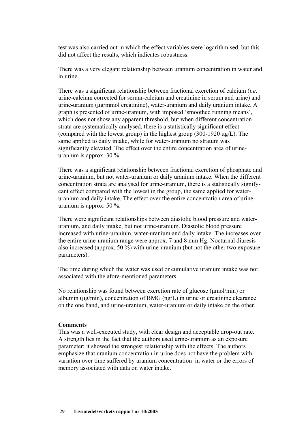test was also carried out in which the effect variables were logarithmised, but this did not affect the results, which indicates robustness.

There was a very elegant relationship between uranium concentration in water and in urine.

There was a significant relationship between fractional excretion of calcium (*i.e*. urine-calcium corrected for serum-calcium and creatinine in serum and urine) and urine-uranium (μg/mmol creatinine), water-uranium and daily uranium intake. A graph is presented of urine-uranium, with imposed 'smoothed running means', which does not show any apparent threshold, but when different concentration strata are systematically analysed, there is a statistically significant effect (compared with the lowest group) in the highest group (300-1920 μg/L). The same applied to daily intake, while for water-uranium no stratum was significantly elevated. The effect over the entire concentration area of urineuranium is approx. 30 %.

There was a significant relationship between fractional excretion of phosphate and urine-uranium, but not water-uranium or daily uranium intake. When the different concentration strata are analysed for urine-uranium, there is a statistically signifycant effect compared with the lowest in the group, the same applied for wateruranium and daily intake. The effect over the entire concentration area of urineuranium is approx. 50 %.

There were significant relationships between diastolic blood pressure and wateruranium, and daily intake, but not urine-uranium. Diastolic blood pressure increased with urine-uranium, water-uranium and daily intake. The increases over the entire urine-uranium range were approx. 7 and 8 mm Hg. Nocturnal diuresis also increased (approx. 50 %) with urine-uranium (but not the other two exposure parameters).

The time during which the water was used or cumulative uranium intake was not associated with the afore-mentioned parameters.

No relationship was found between excretion rate of glucose (μmol/min) or albumin (μg/min), concentration of BMG (ng/L) in urine or creatinine clearance on the one hand, and urine-uranium, water-uranium or daily intake on the other.

#### **Comments**

This was a well-executed study, with clear design and acceptable drop-out rate. A strength lies in the fact that the authors used urine-uranium as an exposure parameter; it showed the strongest relationship with the effects. The authors emphasize that uranium concentration in urine does not have the problem with variation over time suffered by uranium concentration in water or the errors of memory associated with data on water intake.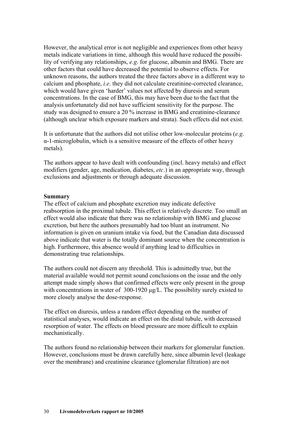However, the analytical error is not negligible and experiences from other heavy metals indicate variations in time, although this would have reduced the possibility of verifying any relationships, *e.g*. for glucose, albumin and BMG. There are other factors that could have decreased the potential to observe effects. For unknown reasons, the authors treated the three factors above in a different way to calcium and phosphate, *i.e*. they did not calculate creatinine-corrected clearance, which would have given 'harder' values not affected by diuresis and serum concentrations. In the case of BMG, this may have been due to the fact that the analysis unfortunately did not have sufficient sensitivity for the purpose. The study was designed to ensure a 20 % increase in BMG and creatinine-clearance (although unclear which exposure markers and strata). Such effects did not exist.

It is unfortunate that the authors did not utilise other low-molecular proteins (*e.g*. α-1-microglobulin, which is a sensitive measure of the effects of other heavy metals).

The authors appear to have dealt with confounding (incl. heavy metals) and effect modifiers (gender, age, medication, diabetes, *etc*.) in an appropriate way, through exclusions and adjustments or through adequate discussion.

#### **Summary**

The effect of calcium and phosphate excretion may indicate defective reabsorption in the proximal tubule. This effect is relatively discrete. Too small an effect would also indicate that there was no relationship with BMG and glucose excretion, but here the authors presumably had too blunt an instrument. No information is given on uranium intake via food, but the Canadian data discussed above indicate that water is the totally dominant source when the concentration is high. Furthermore, this absence would if anything lead to difficulties in demonstrating true relationships.

The authors could not discern any threshold. This is admittedly true, but the material available would not permit sound conclusions on the issue and the only attempt made simply shows that confirmed effects were only present in the group with concentrations in water of 300-1920 μg/L. The possibility surely existed to more closely analyse the dose-response.

The effect on diuresis, unless a random effect depending on the number of statistical analyses, would indicate an effect on the distal tubule, with decreased resorption of water. The effects on blood pressure are more difficult to explain mechanistically.

The authors found no relationship between their markers for glomerular function. However, conclusions must be drawn carefully here, since albumin level (leakage over the membrane) and creatinine clearance (glomerular filtration) are not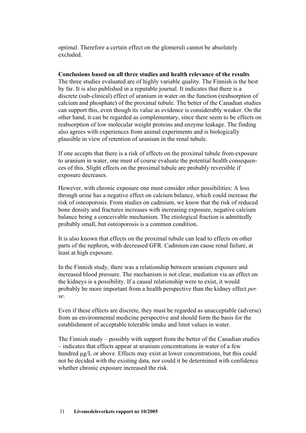optimal. Therefore a certain effect on the glomeruli cannot be absolutely excluded.

#### **Conclusions based on all three studies and health relevance of the results**

The three studies evaluated are of highly variable quality. The Finnish is the best by far. It is also published in a reputable journal. It indicates that there is a discrete (sub-clinical) effect of uranium in water on the function (reabsorption of calcium and phosphate) of the proximal tubule. The better of the Canadian studies can support this, even though its value as evidence is considerably weaker. On the other hand, it can be regarded as complementary, since there seem to be effects on reabsorption of low molecular weight proteins and enzyme leakage. The finding also agrees with experiences from animal experiments and is biologically plausible in view of retention of uranium in the renal tubule.

If one accepts that there is a risk of effects on the proximal tubule from exposure to uranium in water, one must of course evaluate the potential health consequences of this. Slight effects on the proximal tubule are probably reversible if exposure decreases.

However, with chronic exposure one must consider other possibilities: A loss through urine has a negative effect on calcium balance, which could increase the risk of osteoporosis. From studies on cadmium, we know that the risk of reduced bone density and fractures increases with increasing exposure, negative calcium balance being a conceivable mechanism. The etiological fraction is admittedly probably small, but osteoporosis is a common condition.

It is also known that effects on the proximal tubule can lead to effects on other parts of the nephron, with decreased GFR. Cadmium can cause renal failure, at least at high exposure.

In the Finnish study, there was a relationship between uranium exposure and increased blood pressure. The mechanism is not clear, mediation via an effect on the kidneys is a possibility. If a causal relationship were to exist, it would probably be more important from a health perspective than the kidney effect *per se*.

Even if these effects are discrete, they must be regarded as unacceptable (adverse) from an environmental medicine perspective and should form the basis for the establishment of acceptable tolerable intake and limit values in water.

The Finnish study – possibly with support from the better of the Canadian studies – indicates that effects appear at uranium concentrations in water of a few hundred μg/L or above. Effects may exist at lower concentrations, but this could not be decided with the existing data, nor could it be determined with confidence whether chronic exposure increased the risk.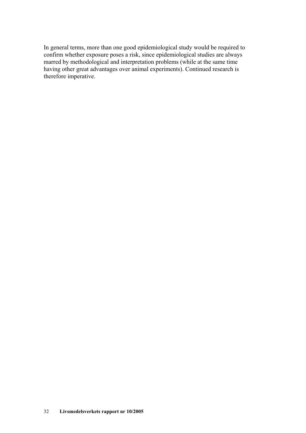In general terms, more than one good epidemiological study would be required to confirm whether exposure poses a risk, since epidemiological studies are always marred by methodological and interpretation problems (while at the same time having other great advantages over animal experiments). Continued research is therefore imperative.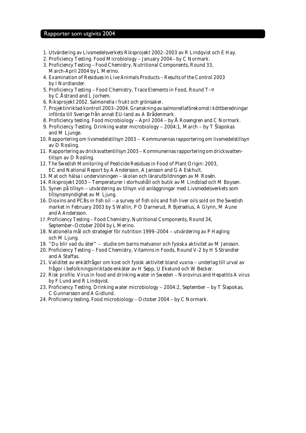#### Rapporter som utgivits 2004

- 1. Utvärdering av Livsmedelsverkets Riksprojekt 2002−2003 av R Lindqvist och E Hay.
- 2. Proficiency Testing. Food Microbiology − January 2004− by C Normark.
- 3. Proficiency Testing − Food Chemistry, Nutritional Components, Round 33, March-April 2004 by L Merino.
- 4. Examination of Residues in Live Animals Products − Results of the Control 2003 by I Nordlander.
- 5. Proficiency Testing − Food Chemistry, Trace Elements in Food, Round T−9 by C Åstrand and L Jorhem.
- 6. Riksprojekt 2002. Salmonella i frukt och grönsaker.
- 7. Projektinriktad kontroll 2003−2004. Granskning av salmonellaförekomst i köttberedningar införda till Sverige från annat EU-land av A Brådenmark.
- 8. Proficiency testing. Food microbiology − April 2004 − by Å Rosengren and C Normark.
- 9. Proficiency Testing. Drinking water microbiology − 2004:1, March by T Šlapokas and M Liunge.
- 10. Rapportering om livsmedelstillsyn 2003 − Kommunernas rapportering om livsmedelstillsyn av D Rosling.
- 11. Rapportering av dricksvattentillsyn 2003 − Kommunernas rapportering om dricksvattentillsyn av D Rosling.
- 12. The Swedish Monitoring of Pesticide Residues in Food of Plant Origin: 2003, EC and National Report by A Andersson, A Jansson and G A Eskhult.
- 13. Mat och hälsa i undervisningen − skolan och lärarutbildningen av M Rosén.
- 14. Riksprojekt 2003 − Temperaturer i storhushåll och butik av M Lindblad och M Boysen.
- 15. Synen på tillsyn − utvärdering av tillsyn vid anläggningar med Livsmedelsverkets som tillsynsmyndighet av M Ljung.
- 16. Dioxins and PCBs in fish oil − a survey of fish oils and fish liver oils sold on the Swedish market in February 2003 by S Wallin, P O Darnerud, R Bjerselius, A Glynn, M Aune and A Andersson.
- 17. Proficiency Testing − Food Chemistry, Nutritional Components, Round 34, September−October 2004 by L Merino.
- 18. Nationella mål och strategier för nutrition 1999−2004 − utvärdering av P Hagling och M Ljung.
- 19. "Du blir vad du äter" − studie om barns matvanor och fysiska aktivitet av M Jansson.
- 20. Proficiency Testing − Food Chemistry, Vitamins in Foods, Round V-2 by H S Strandler and A Staffas.
- 21. Validitet av enkätfrågor om kost och fysisk aktivitet bland vuxna − underlag till urval av frågor i befolkningsinriktade enkäter av H Sepp, U Ekelund och W Becker.
- 22. Risk profile. Virus in food and drinking water in Sweden − Norovirus and Hepatitis A virus by F Lund and R Lindqvist.
- 23. Proficiency Testing. Drinking water microbiology − 2004:2, September − by T Šlapokas, C Gunnarsson and A Gidlund.
- 24. Proficiency testing. Food microbiology − October 2004 − by C Normark.